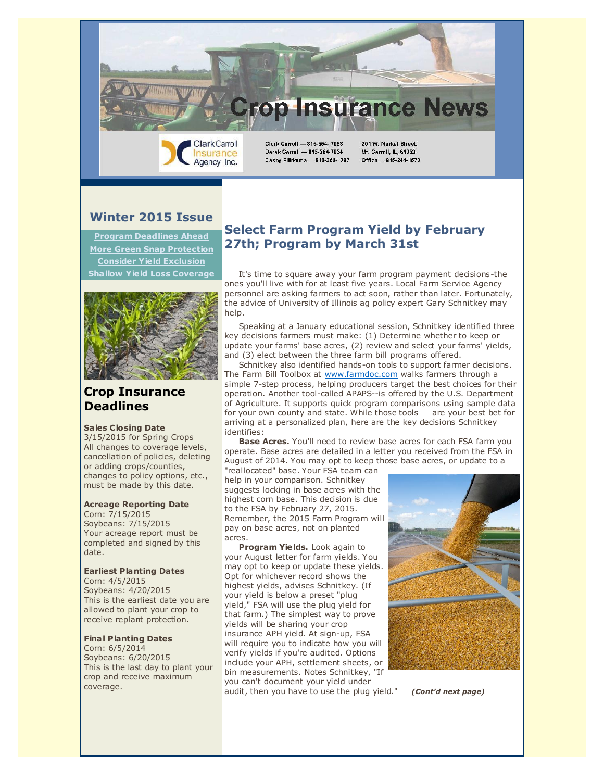Clark Carroll - 815-564- 7053 Derek Carroll - 815-564-7054 Casey Flikkema - 815-266-1787

**Winter 2015 Issue**

**Clark Carroll** 

Insurance

Agency Inc.

**[Program Deadlines Ahead](https://ui.constantcontact.com/visualeditor/visual_editor_preview.jsp?agent.uid=1119961765221&format=html&printFrame=true#LETTER.BLOCK9) [More Green Snap Protection](https://ui.constantcontact.com/visualeditor/visual_editor_preview.jsp?agent.uid=1119961765221&format=html&printFrame=true#LETTER.BLOCK27) [Consider Yield Exclusion](https://ui.constantcontact.com/visualeditor/visual_editor_preview.jsp?agent.uid=1119961765221&format=html&printFrame=true#LETTER.BLOCK29) [Shallow Yield Loss Coverage](https://ui.constantcontact.com/visualeditor/visual_editor_preview.jsp?agent.uid=1119961765221&format=html&printFrame=true#LETTER.BLOCK28)**



## **Crop Insurance Deadlines**

#### **Sales C losing Date**

3/15/2015 for Spring Crops All changes to coverage levels, cancellation of policies, deleting or adding crops/counties, changes to policy options, etc., must be made by this date.

#### **Acreage Reporting Date**

Corn: 7/15/2015 Soybeans: 7/15/2015 Your acreage report must be completed and signed by this date.

#### **Earliest Planting Dates**

Corn: 4/5/2015 Soybeans: 4/20/2015 This is the earliest date you are allowed to plant your crop to receive replant protection.

#### **Final Planting Dates**

Corn: 6/5/2014 Soybeans: 6/20/2015 This is the last day to plant your crop and receive maximum coverage.

## **Select Farm Program Yield by February 27th; Program by March 31st**

 It's time to square away your farm program payment decisions-the ones you'll live with for at least five years. Local Farm Service Agency personnel are asking farmers to act soon, rather than later. Fortunately, the advice of University of Illinois ag policy expert Gary Schnitkey may help.

**rop Insurance News** 

201W. Market Street,

Mt. Carroll, IL, 61053

Office - 815-244-1570

 Speaking at a January educational session, Schnitkey identified three key decisions farmers must make: (1) Determine whether to keep or update your farms' base acres, (2) review and select your farms' yields, and (3) elect between the three farm bill programs offered.

 Schnitkey also identified hands-on tools to support farmer decisions. The Farm Bill Toolbox at [www.farmdoc.com](http://r20.rs6.net/tn.jsp?e=001LXw87_zObCPlojIcRBzzw2GhOMRFS6zaRBXkSA-wGa8_HvlkmaHCZJUAvZJsSuu3Q_LxWxw6YtopBTahIjhNQSLo8jcQG6Dx4snZPKt1jt4=) walks farmers through a simple 7-step process, helping producers target the best choices for their operation. Another tool-called APAPS--is offered by the U.S. Department of Agriculture. It supports quick program comparisons using sample data for your own county and state. While those tools are your best bet for arriving at a personalized plan, here are the key decisions Schnitkey identifies:

 **Base Acres.** You'll need to review base acres for each FSA farm you operate. Base acres are detailed in a letter you received from the FSA in August of 2014. You may opt to keep those base acres, or update to a

"reallocated" base. Your FSA team can help in your comparison. Schnitkey suggests locking in base acres with the highest corn base. This decision is due to the FSA by February 27, 2015. Remember, the 2015 Farm Program will pay on base acres, not on planted acres.

 **Program Yields.** Look again to your August letter for farm yields. You may opt to keep or update these yields. Opt for whichever record shows the highest yields, advises Schnitkey. (If your yield is below a preset "plug yield," FSA will use the plug yield for that farm.) The simplest way to prove yields will be sharing your crop insurance APH yield. At sign-up, FSA will require you to indicate how you will verify yields if you're audited. Options include your APH, settlement sheets, or bin measurements. Notes Schnitkey, "If you can't document your yield under audit, then you have to use the plug yield." *(Cont'd next page)*

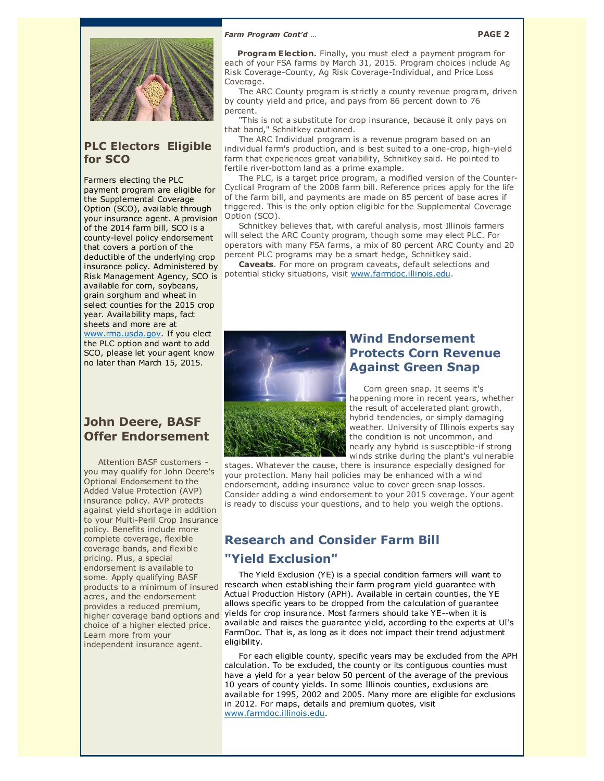



### **PLC Electors Eligible for SCO**

Farmers electing the PLC payment program are eligible for the Supplemental Coverage Option (SCO), available through your insurance agent. A provision of the 2014 farm bill, SCO is a county-level policy endorsement that covers a portion of the deductible of the underlying crop insurance policy. Administered by Risk Management Agency, SCO is available for corn, soybeans, grain sorghum and wheat in select counties for the 2015 crop year. Availability maps, fact sheets and more are at [www.rma.usda.gov.](http://r20.rs6.net/tn.jsp?e=001LXw87_zObCPlojIcRBzzw2GhOMRFS6zaRBXkSA-wGa8_HvlkmaHCZJUAvZJsSuu3Q_LxWxw6Ytoy5fLo696cy7mh9D43HV73FcCIWiC6KbM=) If you elect

the PLC option and want to add SCO, please let your agent know no later than March 15, 2015.

## **John Deere, BASF Offer Endorsement**

 Attention BASF customers you may qualify for John Deere's Optional Endorsement to the Added Value Protection (AVP) insurance policy. AVP protects against yield shortage in addition to your Multi-Peril Crop Insurance policy. Benefits include more complete coverage, flexible coverage bands, and flexible pricing. Plus, a special endorsement is available to some. Apply qualifying BASF products to a minimum of insured acres, and the endorsement provides a reduced premium, higher coverage band options and choice of a higher elected price. Learn more from your independent insurance agent.

Program Election. Finally, you must elect a payment program for each of your FSA farms by March 31, 2015. Program choices include Ag Risk Coverage-County, Ag Risk Coverage-Individual, and Price Loss Coverage.

 The ARC County program is strictly a county revenue program, driven by county yield and price, and pays from 86 percent down to 76 percent.

 "This is not a substitute for crop insurance, because it only pays on that band," Schnitkey cautioned.

 The ARC Individual program is a revenue program based on an individual farm's production, and is best suited to a one-crop, high-yield farm that experiences great variability, Schnitkey said. He pointed to fertile river-bottom land as a prime example.

 The PLC, is a target price program, a modified version of the Counter-Cyclical Program of the 2008 farm bill. Reference prices apply for the life of the farm bill, and payments are made on 85 percent of base acres if triggered. This is the only option eligible for the Supplemental Coverage Option (SCO).

 Schnitkey believes that, with careful analysis, most Illinois farmers will select the ARC County program, though some may elect PLC. For operators with many FSA farms, a mix of 80 percent ARC County and 20 percent PLC programs may be a smart hedge, Schnitkey said.

 **Caveats**. For more on program caveats, default selections and potential sticky situations, visit [www.farmdoc.illinois.edu.](http://r20.rs6.net/tn.jsp?e=001LXw87_zObCPlojIcRBzzw2GhOMRFS6zaRBXkSA-wGa8_HvlkmaHCZJUAvZJsSuu3Q_LxWxw6YtopBTahIjhNQZaSdiKZboY945moVdW-Di8DAdt17CMeaw==)



## **Wind Endorsement Protects Corn Revenue Against Green Snap**

 Corn green snap. It seems it's happening more in recent years, whether the result of accelerated plant growth, hybrid tendencies, or simply damaging weather. University of Illinois experts say the condition is not uncommon, and nearly any hybrid is susceptible-if strong winds strike during the plant's vulnerable

stages. Whatever the cause, there is insurance especially designed for your protection. Many hail policies may be enhanced with a wind endorsement, adding insurance value to cover green snap losses. Consider adding a wind endorsement to your 2015 coverage. Your agent is ready to discuss your questions, and to help you weigh the options.

# **Research and Consider Farm Bill "Yield Exclusion"**

 The Yield Exclusion (YE) is a special condition farmers will want to research when establishing their farm program yield guarantee with Actual Production History (APH). Available in certain counties, the YE allows specific years to be dropped from the calculation of guarantee yields for crop insurance. Most farmers should take YE--when it is available and raises the guarantee yield, according to the experts at UI's FarmDoc. That is, as long as it does not impact their trend adjustment eligibility.

 For each eligible county, specific years may be excluded from the APH calculation. To be excluded, the county or its contiguous counties must have a yield for a year below 50 percent of the average of the previous 10 years of county yields. In some Illinois counties, exclusions are available for 1995, 2002 and 2005. Many more are eligible for exclusions in 2012. For maps, details and premium quotes, visit [www.farmdoc.illinois.edu.](http://www.farmdoc.illinois.edu/)